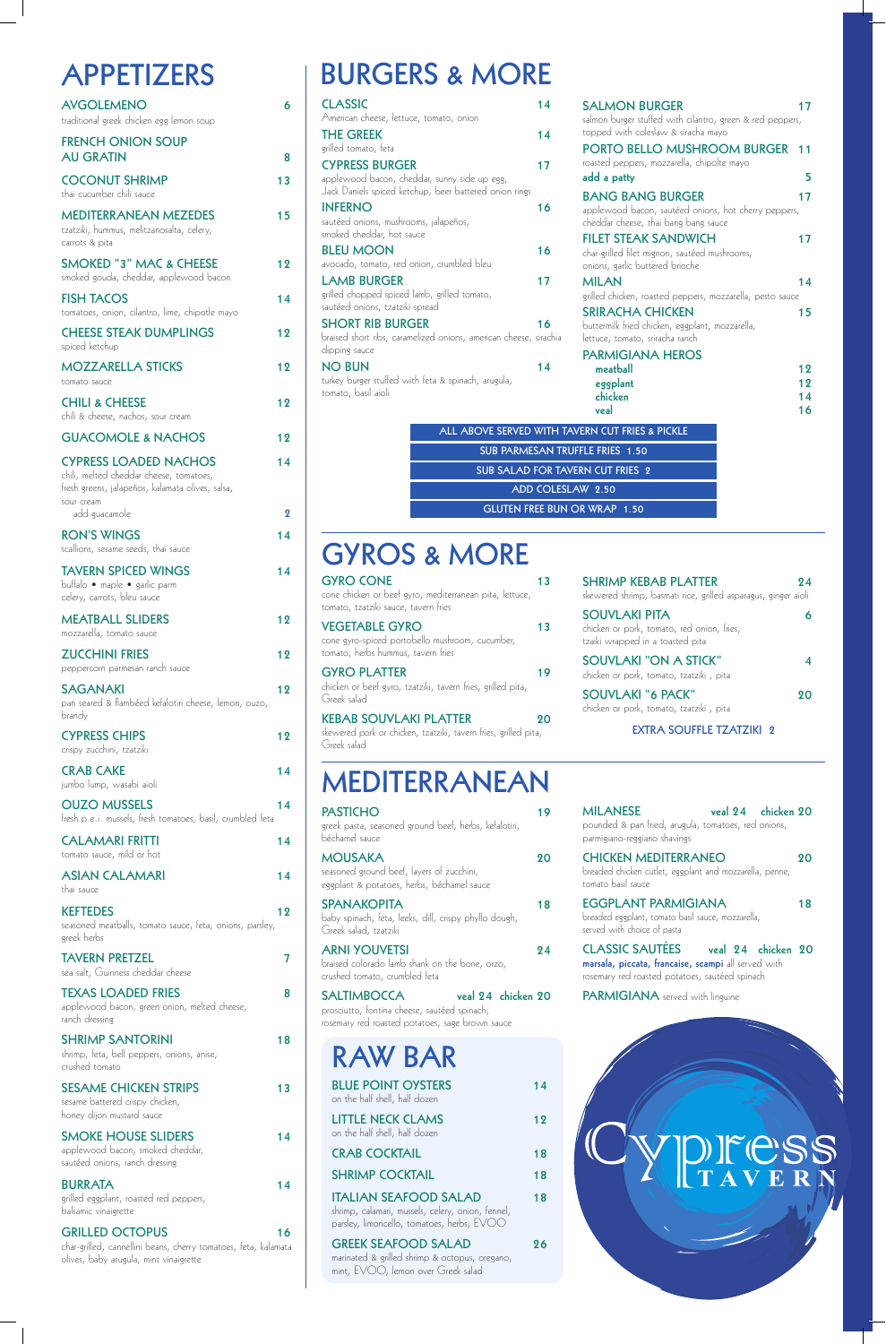## **APPETIZERS**

| <b>AVGOLEMENO</b><br>traditional greek chicken egg lemon soup                                                                                              | 6       |
|------------------------------------------------------------------------------------------------------------------------------------------------------------|---------|
| <b>FRENCH ONION SOUP</b><br><b>AU GRATIN</b>                                                                                                               | 8       |
| <b>COCONUT SHRIMP</b><br>thai cucumber chili sauce                                                                                                         | 13      |
| <b>MEDITERRANEAN MEZEDES</b><br>tzatziki, hummus, melitzanosalta, celery,<br>carrots & pita                                                                | 15      |
| <b>SMOKED "3" MAC &amp; CHEESE</b><br>smoked gouda, cheddar, applewood bacon                                                                               | 12      |
| <b>FISH TACOS</b><br>tomatoes, onion, cilantro, lime, chipotle mayo                                                                                        | 14      |
| <b>CHEESE STEAK DUMPLINGS</b><br>spiced ketchup                                                                                                            | 12      |
| <b>MOZZARELLA STICKS</b><br>tomato sauce                                                                                                                   | 12      |
| <b>CHILI &amp; CHEESE</b><br>chili & cheese, nachos, sour cream                                                                                            | 12      |
| <b>GUACOMOLE &amp; NACHOS</b>                                                                                                                              | 12      |
| <b>CYPRESS LOADED NACHOS</b><br>chili, melted cheddar cheese, tomatoes,<br>fresh greens, jalapeños, kalamata olives, salsa,<br>sour cream<br>add guacamole | 14<br>ջ |
| <b>RON'S WINGS</b>                                                                                                                                         | 14      |
| scallions, sesame seeds, thai sauce                                                                                                                        |         |
| <b>TAVERN SPICED WINGS</b><br>buffalo • maple • garlic parm<br>celery, carrots, bleu sauce                                                                 | 14      |
| <b>MEATBALL SLIDERS</b><br>mozzarella, tomato sauce                                                                                                        | 12      |
| <b>ZUCCHINI FRIES</b><br>peppercorn parmesan ranch sauce                                                                                                   | 12      |
| <b>SAGANAKI</b><br>pan seared & flambéed kefalotiri cheese, lemon, ouzo,<br>brandy                                                                         | 12      |
| <b>CYPRESS CHIPS</b><br>crispy zucchini, tzatziki                                                                                                          | 12      |
| <b>CRAB CAKE</b><br>jumbo lump, wasabi aioli                                                                                                               | 14      |
| <b>OUZO MUSSELS</b><br>fresh p.e.i. mussels, fresh tomatoes, basil, crumbled feta                                                                          | 14      |
| <b>CALAMARI FRITTI</b><br>tomato sauce, mild or hot                                                                                                        | 14      |
| <b>ASIAN CALAMARI</b><br>thai sauce                                                                                                                        | 14      |
| <b>KEFTEDES</b>                                                                                                                                            | 12      |

SHRIMP SANTORINI 18 shrimp, feta, bell peppers, onions, anise,

**SESAME CHICKEN STRIPS** 13 sesame battered crispy chicken, honey dijon mustard sauce

**SMOKE HOUSE SLIDERS** 14 applewood bacon, smoked cheddar, sautéed onions, ranch dressing

seasoned meatballs, tomato sauce, feta, onions, parsley, greek herbs

**TAVERN PRETZEL 7** sea salt, Guinness cheddar cheese

### **TEXAS LOADED FRIES 8**

applewood bacon, green onion, melted cheese, ranch dressing

crushed tomato

**BLUE POINT OYSTERS** 14 on the half shell, half dozen

### **BURRATA 14**

grilled eggplant, roasted red peppers, balsamic vinaigrette

**ITALIAN SEAFOOD SALAD** 18 shrimp, calamari, mussels, celery, onion, fennel,

### **GRILLED OCTOPUS 16**

char-grilled, cannellini beans, cherry tomatoes, feta, kalamata olives, baby arugula, mint vinaigrette

**STELE FRIES 1.50 SUB STATE STATES ADD COLESLAW 2.50 GLUTEN FREE BUN OR WRAP 1.50**

## **BURGERS & MORE**

| <b>CLASSIC</b>                                                    | 14 | <b>SALMON BURGER</b>                            |
|-------------------------------------------------------------------|----|-------------------------------------------------|
| American cheese, lettuce, tomato, onion                           |    | salmon burger stuffed with                      |
| <b>THE GREEK</b>                                                  | 14 | topped with coleslaw & sir                      |
| grilled tomato, feta                                              |    | <b>PORTO BELLO MUS</b>                          |
| <b>CYPRESS BURGER</b>                                             | 17 | roasted peppers, mozzarella                     |
| applewood bacon, cheddar, sunny side up egg,                      |    | add a patty                                     |
| Jack Daniels spiced ketchup, beer battered onion rings            |    | <b>BANG BANG BURC</b>                           |
| <b>INFERNO</b>                                                    | 16 | applewood bacon, sautéed                        |
| sautéed onions, mushrooms, jalapeños,                             |    | cheddar cheese, thai bang l                     |
| smoked cheddar, hot sauce                                         |    | <b>FILET STEAK SANDY</b>                        |
| <b>BLEU MOON</b>                                                  | 16 | char-grilled filet mignon, sau                  |
| avocado, tomato, red onion, crumbled bleu                         |    | onions, garlic buttered brior                   |
| <b>LAMB BURGER</b>                                                | 17 | <b>MILAN</b>                                    |
| grilled chopped spiced lamb, grilled tomato,                      |    | grilled chicken, roasted pep                    |
| sautéed onions, tzatziki spread                                   |    | <b>SRIRACHA CHICKEI</b>                         |
| <b>SHORT RIB BURGER</b>                                           | 16 | buttermilk fried chicken, egg                   |
| braised short ribs, caramelized onions, american cheese, sirachia |    | lettuce, tomato, sriracha ran                   |
| dipping sauce                                                     |    | <b>PARMIGIANA HERO</b>                          |
| <b>NO BUN</b>                                                     | 14 | meatball                                        |
| turkey burger stuffed with feta & spinach, arugula,               |    | eggplant                                        |
| tomato, basil aioli                                               |    | chicken                                         |
|                                                                   |    | veal                                            |
|                                                                   |    | ALL ABOVE SERVED WITH TAVERN CUT FRIES & PICKLE |
|                                                                   |    | SUB PARMESAN TRUFFLE FRIES 1.50                 |
|                                                                   |    | <b>SUB SALAD FOR TAVERN CUT FRIES 2</b>         |

| <b>SALMON BURGER</b>                                                                         | 17 |
|----------------------------------------------------------------------------------------------|----|
| salmon burger stuffed with cilantro, green & red peppers,                                    |    |
| topped with coleslaw & siracha mayo                                                          |    |
| PORTO BELLO MUSHROOM BURGER                                                                  | 11 |
| roasted peppers, mozzarella, chipolte mayo                                                   |    |
| add a patty                                                                                  | 5  |
| <b>BANG BANG BURGER</b>                                                                      | 17 |
| applewood bacon, sautéed onions, hot cherry peppers,<br>cheddar cheese, thai bang bang sauce |    |
| <b>FILET STEAK SANDWICH</b>                                                                  | 17 |
| char-grilled filet mignon, sautéed mushrooms,<br>onions, garlic buttered brioche             |    |
| <b>MILAN</b>                                                                                 | 14 |
| grilled chicken, roasted peppers, mozzarella, pesto sauce                                    |    |
| <b>SRIRACHA CHICKEN</b>                                                                      | 15 |
| buttermilk fried chicken, eggplant, mozzarella,                                              |    |
| lettuce, tomato, sriracha ranch                                                              |    |
| <b>PARMIGIANA HEROS</b>                                                                      |    |
| meatball                                                                                     | 12 |
| eggplant                                                                                     | 12 |
| chicken                                                                                      | 14 |
| veal                                                                                         | 16 |
| <b>AVERN CUT FRIES &amp; PICKLE</b>                                                          |    |
|                                                                                              |    |

## **RAW BAR**

**LITTLE NECK CLAMS 12** on the half shell, half dozen

**CRAB COCKTAIL 18** 

**SHRIMP COCKTAIL 18** 

### parsley, limoncello, tomatoes, herbs, EVOO

### **GREEK SEAFOOD SALAD 26**

marinated & grilled shrimp & octopus, oregano, mint, EVOO, lemon over Greek salad

| <b>GYRO CONE</b><br>cone chicken or beef gyro, mediterranean pita, lettuce,<br>tomato, tzatziki sauce, tavern fries | 13 |
|---------------------------------------------------------------------------------------------------------------------|----|
| <b>VEGETABLE GYRO</b><br>cone gyro-spiced portobello mushroom, cucumber,<br>tomato, herbs hummus, tavern fries      | 13 |
| <b>GYRO PLATTER</b><br>chicken or beef gyro, tzatziki, tavern fries, grilled pita,<br>Greek salad                   | 19 |
| <b>KEBAB SOUVLAKI PLATTER</b><br>skewered pork or chicken, tzatziki, tavern fries, grilled pita,<br>Greek salad     | 20 |

**SHRIMP KEBAB PLATTER 24** skewered shrimp, basmati rice, grilled asparagus, ginger aioli **SOUVLAKI PITA 6**

chicken or pork, tomato, red onion, fries,

tzaiki wrapped in a toasted pita

**SOUVLAKI "ON A STICK" 4**

### chicken or pork, tomato, tzatziki , pita **SOUVLAKI "6 PACK" 20** chicken or pork, tomato, tzatziki , pita **EXTRA SOUFFLE TZATZIKI 2**

## **GYROS & MORE**

**MEDITERRANEAN**

| <b>MEDHERRANEAN</b>                                                                                       |    |
|-----------------------------------------------------------------------------------------------------------|----|
| <b>PASTICHO</b><br>greek pasta, seasoned ground beef, herbs, kefalotiri,<br>béchamel sauce                | 19 |
| <b>MOUSAKA</b><br>seasoned ground beef, layers of zucchini,<br>eggplant & potatoes, herbs, béchamel sauce | 90 |
| <b>SPANAKOPITA</b><br>baby spinach, feta, leeks, dill, crispy phyllo dough,<br>Greek salad, tzatziki      | 18 |

**ARNI YOUVETSI 24** braised colorado lamb shank on the bone, orzo, crushed tomato, crumbled feta

### **SALTIMBOCCA veal 24 chicken 20**

prosciutto, fontina cheese, sautéed spinach, rosemary red roasted potatoes, sage brown sauce

| MILANESE<br>pounded & pan fried, arugula, tomatoes, red onions,<br>parmigiano-reggiano shavings                | veal 24 chicken 20 |
|----------------------------------------------------------------------------------------------------------------|--------------------|
| <b>CHICKEN MEDITERRANEO</b><br>breaded chicken cutlet, eggplant and mozzarella, penne,<br>tomato basil sauce   |                    |
| <b>EGGPLANT PARMIGIANA</b><br>breaded eggplant, tomato basil sauce, mozzarella,<br>served with choice of pasta | 18                 |

**CLASSIC SAUTÉES veal 24 chicken 20** 

**marsala, piccata, francaise, scampi** all served with rosemary red roasted potatoes, sautéed spinach

#### **PARMIGIANA** served with linguine